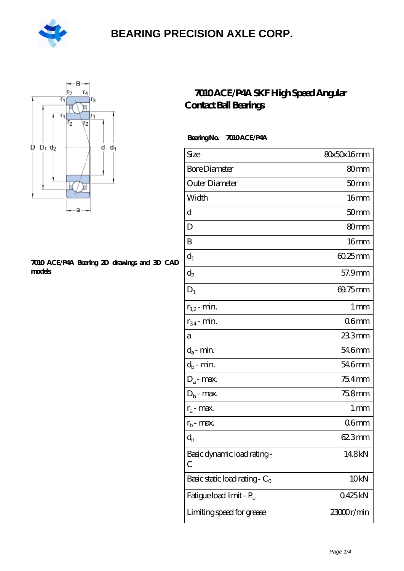



#### **[7010 ACE/P4A Bearing 2D drawings and 3D CAD](https://m.hilalanaokulu.com/pic-660578.html) [models](https://m.hilalanaokulu.com/pic-660578.html)**

### **[7010 ACE/P4A SKF High Speed Angular](https://m.hilalanaokulu.com/skf-bearings/7010-ace-p4a.html) [Contact Ball Bearings](https://m.hilalanaokulu.com/skf-bearings/7010-ace-p4a.html)**

### **Bearing No. 7010 ACE/P4A**

| Size                             | 80x50x16mm       |
|----------------------------------|------------------|
| <b>Bore Diameter</b>             | 80mm             |
| Outer Diameter                   | 50 <sub>mm</sub> |
| Width                            | 16 <sub>mm</sub> |
| d                                | 50 <sub>mm</sub> |
| D                                | 80 <sub>mm</sub> |
| B                                | 16mm             |
| $d_1$                            | $6025$ mm        |
| $\mathrm{d}_2$                   | 57.9mm           |
| $D_1$                            | 69.75mm          |
| $r_{1,2}$ - min.                 | 1 <sub>mm</sub>  |
| $r_{34}$ - min.                  | 06 <sub>mm</sub> |
| а                                | 233mm            |
| $d_a$ - min.                     | 546mm            |
| $d_b$ - min.                     | 546mm            |
| $D_a$ - max.                     | 75.4mm           |
| $D_b$ - max.                     | 75.8mm           |
| $r_a$ - max.                     | 1 mm             |
| $r_{b}$ - max.                   | 06 <sub>mm</sub> |
| $d_{n}$                          | 623mm            |
| Basic dynamic load rating-<br>С  | 14.8kN           |
| Basic static load rating - $C_0$ | 10 <sub>kN</sub> |
| Fatigue load limit - Pu          | 0425kN           |
| Limiting speed for grease        | 23000r/min       |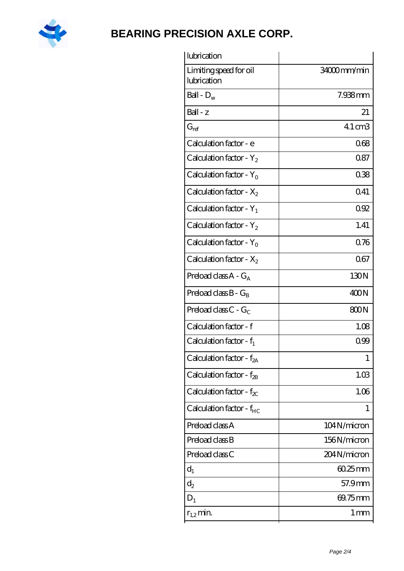

| lubrication                           |                 |
|---------------------------------------|-----------------|
| Limiting speed for oil<br>lubrication | 34000mm/min     |
| Ball - $D_w$                          | 7.938mm         |
| $Ball - z$                            | 21              |
| $G_{ref}$                             | 4.1 cm3         |
| Calculation factor - e                | 068             |
| Calculation factor - $Y_2$            | 0.87            |
| Calculation factor - $Y_0$            | 038             |
| Calculation factor - $X_2$            | Q41             |
| Calculation factor - $Y_1$            | 092             |
| Calculation factor - $Y_2$            | 1.41            |
| Calculation factor - $Y_0$            | 0.76            |
| Calculation factor - $X_2$            | 067             |
| Preload class $A - G_A$               | 130N            |
| Preload class $B - G_B$               | 400N            |
| Preload class $C - G_C$               | 800N            |
| Calculation factor - f                | 1.08            |
| Calculation factor - $f_1$            | 099             |
| Calculation factor - f <sub>2A</sub>  | 1               |
| Calculation factor - $f_{2B}$         | 1.03            |
| Calculation factor - $f_{\chi}$       | 1.06            |
| Calculation factor - $f_{HC}$         | 1               |
| Preload class A                       | 104N/micron     |
| Preload class B                       | 156N/micron     |
| Preload class C                       | 204N/micron     |
| $d_1$                                 | $6025$ mm       |
| $d_2$                                 | 57.9mm          |
| $D_1$                                 | 69.75mm         |
| $r_{1,2}$ min.                        | 1 <sub>mm</sub> |
|                                       |                 |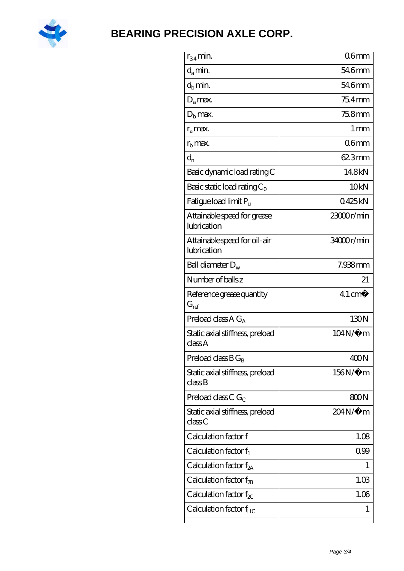

| $r_{34}$ min.                               | 06 <sub>mm</sub>  |
|---------------------------------------------|-------------------|
| $d_{a}$ min.                                | 54.6mm            |
| $d_h$ min.                                  | 546mm             |
| $D_a$ max.                                  | $754$ mm          |
| $Db$ max.                                   | 75.8mm            |
| $r_a$ max.                                  | $1 \,\mathrm{mm}$ |
| $rb$ max.                                   | 06 <sub>mm</sub>  |
| $d_{n}$                                     | 623mm             |
| Basic dynamic load rating C                 | 148kN             |
| Basic static load rating $C_0$              | 10 <sub>kN</sub>  |
| Fatigue load limit $P_{\rm u}$              | 0425kN            |
| Attainable speed for grease<br>lubrication  | 23000r/min        |
| Attainable speed for oil-air<br>lubrication | 34000r/min        |
| Ball diameter $D_w$                         | 7.938mm           |
| Number of balls z                           | 21                |
| Reference grease quantity<br>$G_{\rm ref}$  | $41 \text{ cm}^3$ |
| Preload class A $G_A$                       | 130N              |
| Static axial stiffness, preload<br>classA   | 104N/μ m          |
| Preload class $B G_B$                       | 400N              |
| Static axial stiffness, preload<br>classB   | $156N/\mu$ m      |
| Preload class C $G_C$                       | 800N              |
| Static axial stiffness, preload<br>classC   | 204N/µ m          |
| Calculation factor f                        | 1.08              |
| Calculation factor $f_1$                    | 099               |
| Calculation factor $f_{2A}$                 | T                 |
| Calculation factor $f_{2B}$                 | 1.03              |
| Calculation factor $f_{\chi}$               | 1.06              |
| Calculation factor $f_{HC}$                 | 1                 |
|                                             |                   |